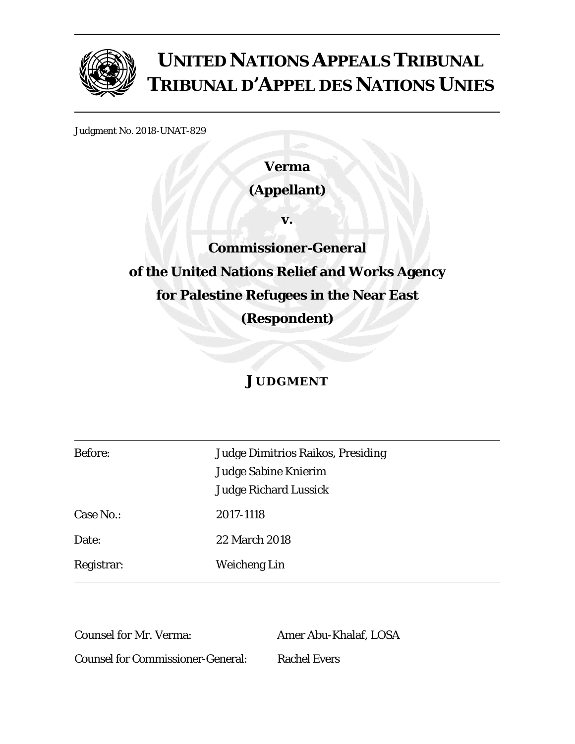

# **UNITED NATIONS APPEALS TRIBUNAL TRIBUNAL D'APPEL DES NATIONS UNIES**

Judgment No. 2018-UNAT-829

**Verma (Appellant)** 

**v.** 

**Commissioner-General of the United Nations Relief and Works Agency for Palestine Refugees in the Near East (Respondent)** 

# **JUDGMENT**

| <b>Before:</b> | <b>Judge Dimitrios Raikos, Presiding</b> |  |  |
|----------------|------------------------------------------|--|--|
|                | Judge Sabine Knierim                     |  |  |
|                | <b>Judge Richard Lussick</b>             |  |  |
| Case No.:      | 2017-1118                                |  |  |
| Date:          | 22 March 2018                            |  |  |
| Registrar:     | Weicheng Lin                             |  |  |

Counsel for Mr. Verma: Amer Abu-Khalaf, LOSA Counsel for Commissioner-General: Rachel Evers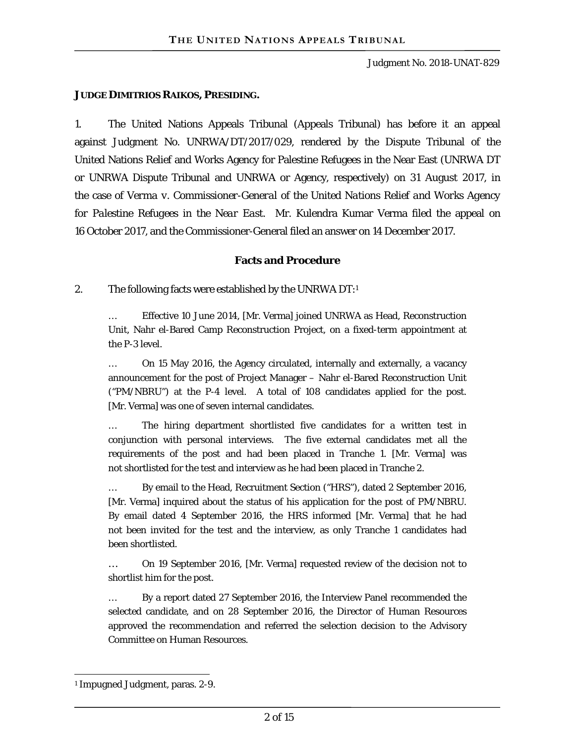#### **JUDGE DIMITRIOS RAIKOS, PRESIDING.**

1. The United Nations Appeals Tribunal (Appeals Tribunal) has before it an appeal against Judgment No. UNRWA/DT/2017/029, rendered by the Dispute Tribunal of the United Nations Relief and Works Agency for Palestine Refugees in the Near East (UNRWA DT or UNRWA Dispute Tribunal and UNRWA or Agency, respectively) on 31 August 2017, in the case of *Verma v. Commissioner-General of the United Nations Relief and Works Agency for Palestine Refugees in the Near East*. Mr. Kulendra Kumar Verma filed the appeal on 16 October 2017, and the Commissioner-General filed an answer on 14 December 2017.

## **Facts and Procedure**

## 2. The following facts were established by the UNRWA  $DT:1$

… Effective 10 June 2014, [Mr. Verma] joined UNRWA as Head, Reconstruction Unit, Nahr el-Bared Camp Reconstruction Project, on a fixed-term appointment at the P-3 level.

… On 15 May 2016, the Agency circulated, internally and externally, a vacancy announcement for the post of Project Manager – Nahr el-Bared Reconstruction Unit ("PM/NBRU") at the P-4 level. A total of 108 candidates applied for the post. [Mr. Verma] was one of seven internal candidates.

… The hiring department shortlisted five candidates for a written test in conjunction with personal interviews. The five external candidates met all the requirements of the post and had been placed in Tranche 1. [Mr. Verma] was not shortlisted for the test and interview as he had been placed in Tranche 2.

… By email to the Head, Recruitment Section ("HRS"), dated 2 September 2016, [Mr. Verma] inquired about the status of his application for the post of PM/NBRU. By email dated 4 September 2016, the HRS informed [Mr. Verma] that he had not been invited for the test and the interview, as only Tranche 1 candidates had been shortlisted.

… On 19 September 2016, [Mr. Verma] requested review of the decision not to shortlist him for the post.

… By a report dated 27 September 2016, the Interview Panel recommended the selected candidate, and on 28 September 2016, the Director of Human Resources approved the recommendation and referred the selection decision to the Advisory Committee on Human Resources.

 $\overline{a}$ 1 Impugned Judgment, paras. 2-9.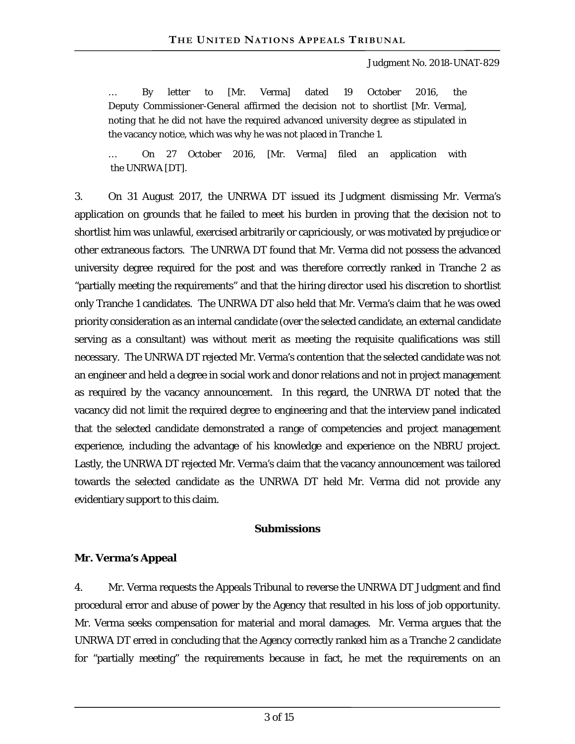… By letter to [Mr. Verma] dated 19 October 2016, the Deputy Commissioner-General affirmed the decision not to shortlist [Mr. Verma], noting that he did not have the required advanced university degree as stipulated in the vacancy notice, which was why he was not placed in Tranche 1.

… On 27 October 2016, [Mr. Verma] filed an application with the UNRWA [DT].

3. On 31 August 2017, the UNRWA DT issued its Judgment dismissing Mr. Verma's application on grounds that he failed to meet his burden in proving that the decision not to shortlist him was unlawful, exercised arbitrarily or capriciously, or was motivated by prejudice or other extraneous factors. The UNRWA DT found that Mr. Verma did not possess the advanced university degree required for the post and was therefore correctly ranked in Tranche 2 as "partially meeting the requirements" and that the hiring director used his discretion to shortlist only Tranche 1 candidates. The UNRWA DT also held that Mr. Verma's claim that he was owed priority consideration as an internal candidate (over the selected candidate, an external candidate serving as a consultant) was without merit as meeting the requisite qualifications was still necessary. The UNRWA DT rejected Mr. Verma's contention that the selected candidate was not an engineer and held a degree in social work and donor relations and not in project management as required by the vacancy announcement. In this regard, the UNRWA DT noted that the vacancy did not limit the required degree to engineering and that the interview panel indicated that the selected candidate demonstrated a range of competencies and project management experience, including the advantage of his knowledge and experience on the NBRU project. Lastly, the UNRWA DT rejected Mr. Verma's claim that the vacancy announcement was tailored towards the selected candidate as the UNRWA DT held Mr. Verma did not provide any evidentiary support to this claim.

#### **Submissions**

#### **Mr. Verma's Appeal**

4. Mr. Verma requests the Appeals Tribunal to reverse the UNRWA DT Judgment and find procedural error and abuse of power by the Agency that resulted in his loss of job opportunity. Mr. Verma seeks compensation for material and moral damages. Mr. Verma argues that the UNRWA DT erred in concluding that the Agency correctly ranked him as a Tranche 2 candidate for "partially meeting" the requirements because in fact, he met the requirements on an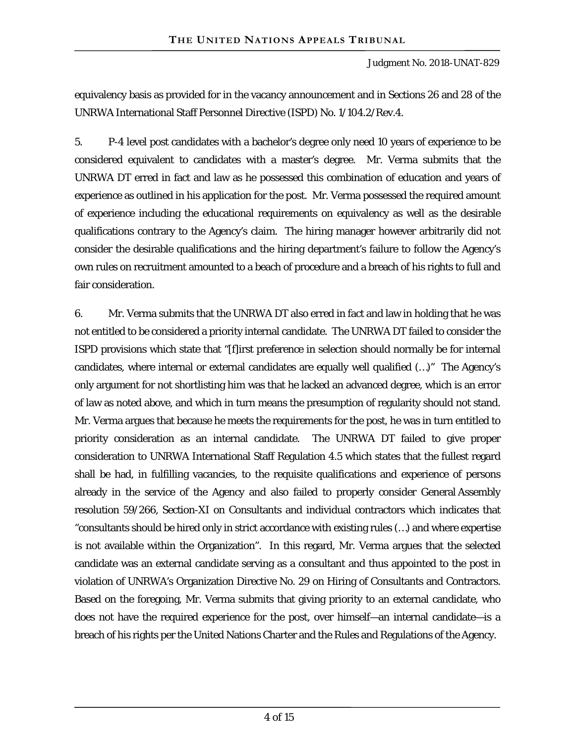equivalency basis as provided for in the vacancy announcement and in Sections 26 and 28 of the UNRWA International Staff Personnel Directive (ISPD) No. 1/104.2/Rev.4.

5. P-4 level post candidates with a bachelor's degree only need 10 years of experience to be considered equivalent to candidates with a master's degree. Mr. Verma submits that the UNRWA DT erred in fact and law as he possessed this combination of education and years of experience as outlined in his application for the post. Mr. Verma possessed the required amount of experience including the educational requirements on equivalency as well as the desirable qualifications contrary to the Agency's claim. The hiring manager however arbitrarily did not consider the desirable qualifications and the hiring department's failure to follow the Agency's own rules on recruitment amounted to a beach of procedure and a breach of his rights to full and fair consideration.

6. Mr. Verma submits that the UNRWA DT also erred in fact and law in holding that he was not entitled to be considered a priority internal candidate. The UNRWA DT failed to consider the ISPD provisions which state that "[f]irst preference in selection should normally be for internal candidates, where internal or external candidates are equally well qualified (…)" The Agency's only argument for not shortlisting him was that he lacked an advanced degree, which is an error of law as noted above, and which in turn means the presumption of regularity should not stand. Mr. Verma argues that because he meets the requirements for the post, he was in turn entitled to priority consideration as an internal candidate. The UNRWA DT failed to give proper consideration to UNRWA International Staff Regulation 4.5 which states that the fullest regard shall be had, in fulfilling vacancies, to the requisite qualifications and experience of persons already in the service of the Agency and also failed to properly consider General Assembly resolution 59/266, Section-XI on Consultants and individual contractors which indicates that "consultants should be hired only in strict accordance with existing rules (…) and where expertise is not available within the Organization". In this regard, Mr. Verma argues that the selected candidate was an external candidate serving as a consultant and thus appointed to the post in violation of UNRWA's Organization Directive No. 29 on Hiring of Consultants and Contractors. Based on the foregoing, Mr. Verma submits that giving priority to an external candidate, who does not have the required experience for the post, over himself—an internal candidate—is a breach of his rights per the United Nations Charter and the Rules and Regulations of the Agency.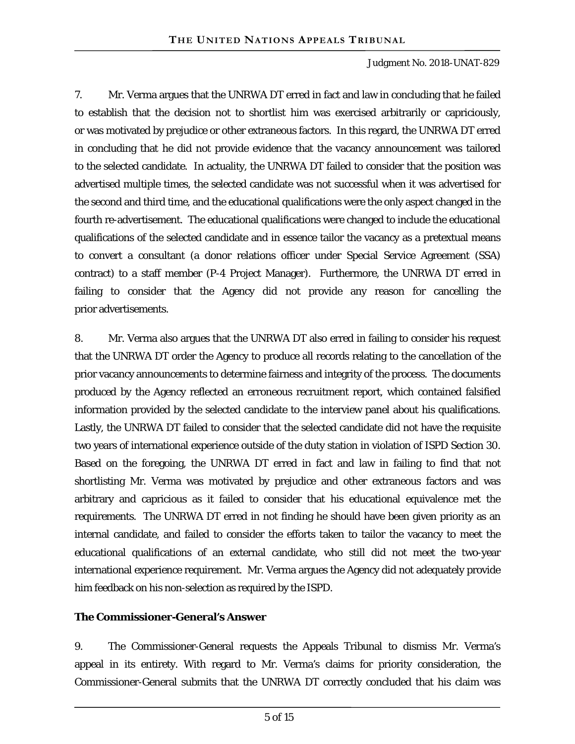7. Mr. Verma argues that the UNRWA DT erred in fact and law in concluding that he failed to establish that the decision not to shortlist him was exercised arbitrarily or capriciously, or was motivated by prejudice or other extraneous factors. In this regard, the UNRWA DT erred in concluding that he did not provide evidence that the vacancy announcement was tailored to the selected candidate. In actuality, the UNRWA DT failed to consider that the position was advertised multiple times, the selected candidate was not successful when it was advertised for the second and third time, and the educational qualifications were the only aspect changed in the fourth re-advertisement. The educational qualifications were changed to include the educational qualifications of the selected candidate and in essence tailor the vacancy as a pretextual means to convert a consultant (a donor relations officer under Special Service Agreement (SSA) contract) to a staff member (P-4 Project Manager). Furthermore, the UNRWA DT erred in failing to consider that the Agency did not provide any reason for cancelling the prior advertisements.

8. Mr. Verma also argues that the UNRWA DT also erred in failing to consider his request that the UNRWA DT order the Agency to produce all records relating to the cancellation of the prior vacancy announcements to determine fairness and integrity of the process. The documents produced by the Agency reflected an erroneous recruitment report, which contained falsified information provided by the selected candidate to the interview panel about his qualifications. Lastly, the UNRWA DT failed to consider that the selected candidate did not have the requisite two years of international experience outside of the duty station in violation of ISPD Section 30. Based on the foregoing, the UNRWA DT erred in fact and law in failing to find that not shortlisting Mr. Verma was motivated by prejudice and other extraneous factors and was arbitrary and capricious as it failed to consider that his educational equivalence met the requirements. The UNRWA DT erred in not finding he should have been given priority as an internal candidate, and failed to consider the efforts taken to tailor the vacancy to meet the educational qualifications of an external candidate, who still did not meet the two-year international experience requirement. Mr. Verma argues the Agency did not adequately provide him feedback on his non-selection as required by the ISPD.

# **The Commissioner-General's Answer**

9. The Commissioner-General requests the Appeals Tribunal to dismiss Mr. Verma's appeal in its entirety. With regard to Mr. Verma's claims for priority consideration, the Commissioner-General submits that the UNRWA DT correctly concluded that his claim was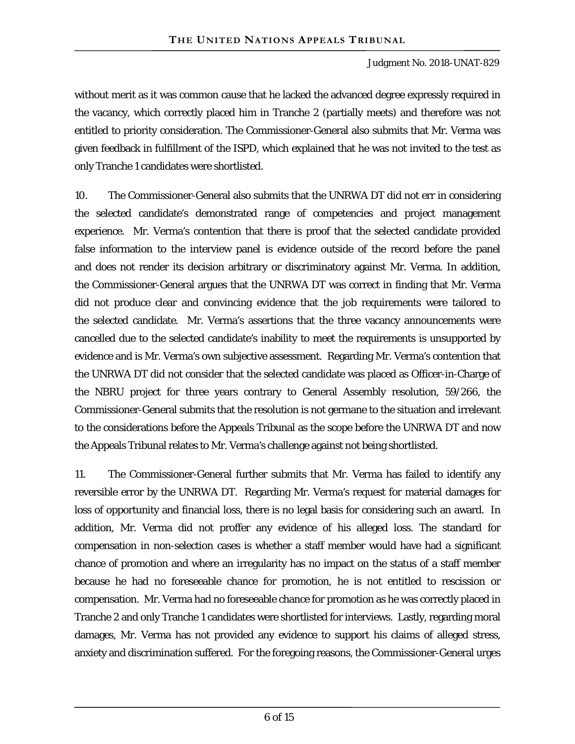without merit as it was common cause that he lacked the advanced degree expressly required in the vacancy, which correctly placed him in Tranche 2 (partially meets) and therefore was not entitled to priority consideration. The Commissioner-General also submits that Mr. Verma was given feedback in fulfillment of the ISPD, which explained that he was not invited to the test as only Tranche 1 candidates were shortlisted.

10. The Commissioner-General also submits that the UNRWA DT did not err in considering the selected candidate's demonstrated range of competencies and project management experience. Mr. Verma's contention that there is proof that the selected candidate provided false information to the interview panel is evidence outside of the record before the panel and does not render its decision arbitrary or discriminatory against Mr. Verma. In addition, the Commissioner-General argues that the UNRWA DT was correct in finding that Mr. Verma did not produce clear and convincing evidence that the job requirements were tailored to the selected candidate. Mr. Verma's assertions that the three vacancy announcements were cancelled due to the selected candidate's inability to meet the requirements is unsupported by evidence and is Mr. Verma's own subjective assessment. Regarding Mr. Verma's contention that the UNRWA DT did not consider that the selected candidate was placed as Officer-in-Charge of the NBRU project for three years contrary to General Assembly resolution, 59/266, the Commissioner-General submits that the resolution is not germane to the situation and irrelevant to the considerations before the Appeals Tribunal as the scope before the UNRWA DT and now the Appeals Tribunal relates to Mr. Verma's challenge against not being shortlisted.

11. The Commissioner-General further submits that Mr. Verma has failed to identify any reversible error by the UNRWA DT. Regarding Mr. Verma's request for material damages for loss of opportunity and financial loss, there is no legal basis for considering such an award. In addition, Mr. Verma did not proffer any evidence of his alleged loss. The standard for compensation in non-selection cases is whether a staff member would have had a significant chance of promotion and where an irregularity has no impact on the status of a staff member because he had no foreseeable chance for promotion, he is not entitled to rescission or compensation. Mr. Verma had no foreseeable chance for promotion as he was correctly placed in Tranche 2 and only Tranche 1 candidates were shortlisted for interviews. Lastly, regarding moral damages, Mr. Verma has not provided any evidence to support his claims of alleged stress, anxiety and discrimination suffered. For the foregoing reasons, the Commissioner-General urges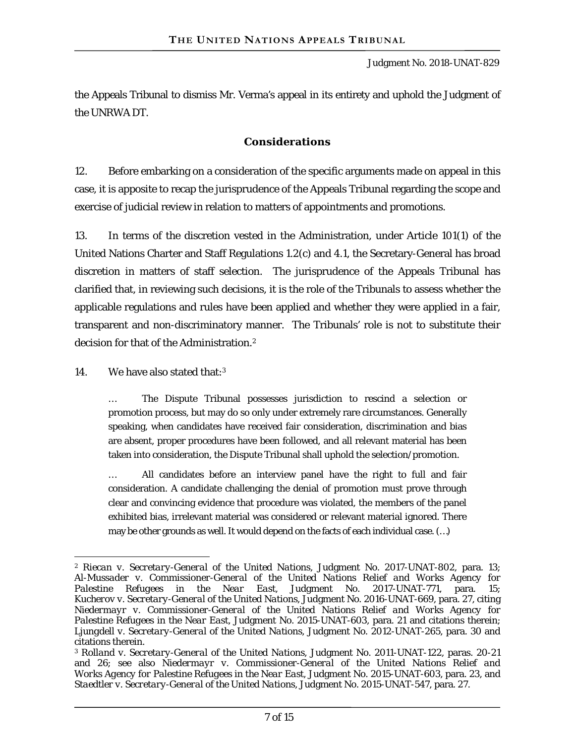the Appeals Tribunal to dismiss Mr. Verma's appeal in its entirety and uphold the Judgment of the UNRWA DT.

# **Considerations**

12. Before embarking on a consideration of the specific arguments made on appeal in this case, it is apposite to recap the jurisprudence of the Appeals Tribunal regarding the scope and exercise of judicial review in relation to matters of appointments and promotions.

13. In terms of the discretion vested in the Administration, under Article 101(1) of the United Nations Charter and Staff Regulations 1.2(c) and 4.1, the Secretary-General has broad discretion in matters of staff selection. The jurisprudence of the Appeals Tribunal has clarified that, in reviewing such decisions, it is the role of the Tribunals to assess whether the applicable regulations and rules have been applied and whether they were applied in a fair, transparent and non-discriminatory manner. The Tribunals' role is not to substitute their decision for that of the Administration.2

14. We have also stated that:3

 $\overline{a}$ 

… The Dispute Tribunal possesses jurisdiction to rescind a selection or promotion process, but may do so only under extremely rare circumstances. Generally speaking, when candidates have received fair consideration, discrimination and bias are absent, proper procedures have been followed, and all relevant material has been taken into consideration, the Dispute Tribunal shall uphold the selection/promotion.

… All candidates before an interview panel have the right to full and fair consideration. A candidate challenging the denial of promotion must prove through clear and convincing evidence that procedure was violated, the members of the panel exhibited bias, irrelevant material was considered or relevant material ignored. There may be other grounds as well. It would depend on the facts of each individual case. (…)

<sup>2</sup> *Riecan v. Secretary-General of the United Nations*, Judgment No. 2017-UNAT-802, para. 13; *Al-Mussader v. Commissioner-General of the United Nations Relief and Works Agency for Palestine Refugees in the Near East*, Judgment No. 2017-UNAT-771, para. 15; *Kucherov v. Secretary-General of the United Nations*, Judgment No. 2016-UNAT-669, para. 27, citing *Niedermayr v. Commissioner-General of the United Nations Relief and Works Agency for Palestine Refugees in the Near East*, Judgment No. 2015-UNAT-603, para. 21 and citations therein; *Ljungdell v. Secretary-General of the United Nations*, Judgment No. 2012-UNAT-265, para. 30 and citations therein.

<sup>3</sup> *Rolland v. Secretary-General of the United Nations*, Judgment No. 2011-UNAT-122, paras. 20-21 and 26; see also *Niedermayr v. Commissioner-General of the United Nations Relief and Works Agency for Palestine Refugees in the Near East*, Judgment No. 2015-UNAT-603, para. 23, and *Staedtler v. Secretary-General of the United Nations*, Judgment No. 2015-UNAT-547, para. 27.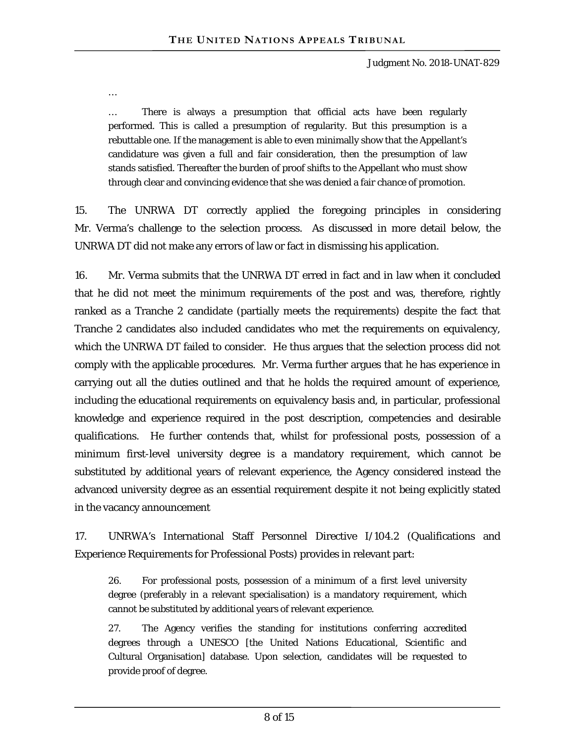…

… There is always a presumption that official acts have been regularly performed. This is called a presumption of regularity. But this presumption is a rebuttable one. If the management is able to even minimally show that the Appellant's candidature was given a full and fair consideration, then the presumption of law stands satisfied. Thereafter the burden of proof shifts to the Appellant who must show through clear and convincing evidence that she was denied a fair chance of promotion.

15. The UNRWA DT correctly applied the foregoing principles in considering Mr. Verma's challenge to the selection process. As discussed in more detail below, the UNRWA DT did not make any errors of law or fact in dismissing his application.

16. Mr. Verma submits that the UNRWA DT erred in fact and in law when it concluded that he did not meet the minimum requirements of the post and was, therefore, rightly ranked as a Tranche 2 candidate (partially meets the requirements) despite the fact that Tranche 2 candidates also included candidates who met the requirements on equivalency, which the UNRWA DT failed to consider. He thus argues that the selection process did not comply with the applicable procedures. Mr. Verma further argues that he has experience in carrying out all the duties outlined and that he holds the required amount of experience, including the educational requirements on equivalency basis and, in particular, professional knowledge and experience required in the post description, competencies and desirable qualifications. He further contends that, whilst for professional posts, possession of a minimum first-level university degree is a mandatory requirement, which cannot be substituted by additional years of relevant experience, the Agency considered instead the advanced university degree as an essential requirement despite it not being explicitly stated in the vacancy announcement

17. UNRWA's International Staff Personnel Directive I/104.2 (Qualifications and Experience Requirements for Professional Posts) provides in relevant part:

26. For professional posts, possession of a minimum of a first level university degree (preferably in a relevant specialisation) is a mandatory requirement, which cannot be substituted by additional years of relevant experience.

27. The Agency verifies the standing for institutions conferring accredited degrees through a UNESCO [the United Nations Educational, Scientific and Cultural Organisation] database. Upon selection, candidates will be requested to provide proof of degree.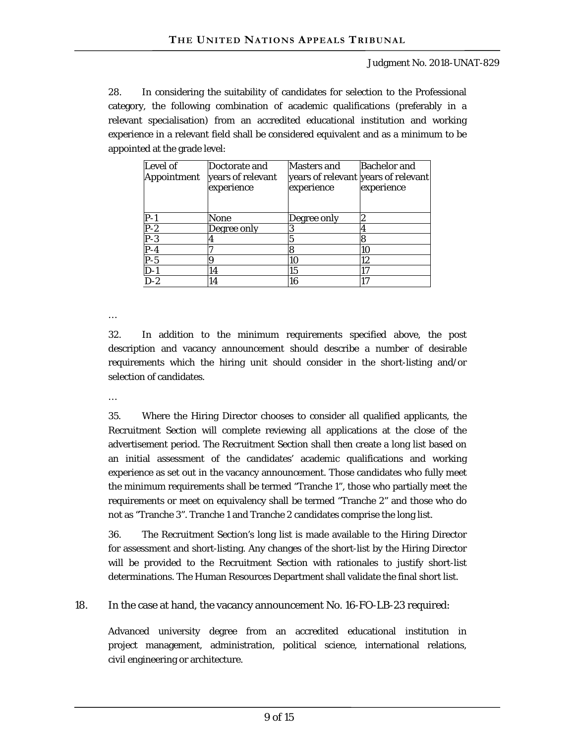28. In considering the suitability of candidates for selection to the Professional category, the following combination of academic qualifications (preferably in a relevant specialisation) from an accredited educational institution and working experience in a relevant field shall be considered equivalent and as a minimum to be appointed at the grade level:

| Level of<br>Appointment | Doctorate and<br>years of relevant<br>experience | Masters and<br>years of relevant years of relevant<br>experience | <b>Bachelor and</b><br>experience |
|-------------------------|--------------------------------------------------|------------------------------------------------------------------|-----------------------------------|
|                         | None                                             | Degree only                                                      |                                   |
| -2                      | Degree only                                      |                                                                  |                                   |
| -3                      |                                                  |                                                                  |                                   |
|                         |                                                  |                                                                  | 10                                |
| -5                      |                                                  |                                                                  | 12 <sub>1</sub>                   |
|                         | 4                                                | 15                                                               |                                   |
| D-2                     |                                                  | 6                                                                |                                   |

…

32. In addition to the minimum requirements specified above, the post description and vacancy announcement should describe a number of desirable requirements which the hiring unit should consider in the short-listing and/or selection of candidates.

…

35. Where the Hiring Director chooses to consider all qualified applicants, the Recruitment Section will complete reviewing all applications at the close of the advertisement period. The Recruitment Section shall then create a long list based on an initial assessment of the candidates' academic qualifications and working experience as set out in the vacancy announcement. Those candidates who fully meet the minimum requirements shall be termed "Tranche 1", those who partially meet the requirements or meet on equivalency shall be termed "Tranche 2" and those who do not as "Tranche 3". Tranche 1 and Tranche 2 candidates comprise the long list.

36. The Recruitment Section's long list is made available to the Hiring Director for assessment and short-listing. Any changes of the short-list by the Hiring Director will be provided to the Recruitment Section with rationales to justify short-list determinations. The Human Resources Department shall validate the final short list.

18. In the case at hand, the vacancy announcement No. 16-FO-LB-23 required:

Advanced university degree from an accredited educational institution in project management, administration, political science, international relations, civil engineering or architecture.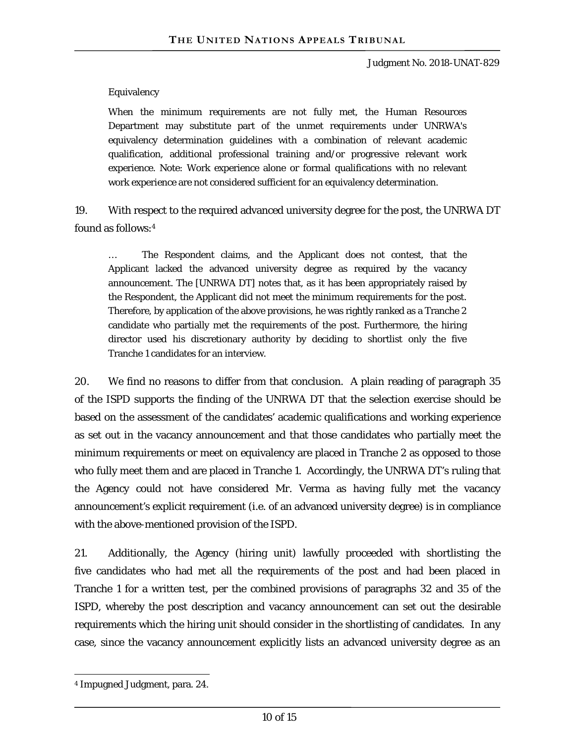#### Equivalency

When the minimum requirements are not fully met, the Human Resources Department may substitute part of the unmet requirements under UNRWA's equivalency determination guidelines with a combination of relevant academic qualification, additional professional training and/or progressive relevant work experience. Note: Work experience alone or formal qualifications with no relevant work experience are not considered sufficient for an equivalency determination.

19. With respect to the required advanced university degree for the post, the UNRWA DT found as follows:4

… The Respondent claims, and the Applicant does not contest, that the Applicant lacked the advanced university degree as required by the vacancy announcement. The [UNRWA DT] notes that, as it has been appropriately raised by the Respondent, the Applicant did not meet the minimum requirements for the post. Therefore, by application of the above provisions, he was rightly ranked as a Tranche 2 candidate who partially met the requirements of the post. Furthermore, the hiring director used his discretionary authority by deciding to shortlist only the five Tranche 1 candidates for an interview.

20. We find no reasons to differ from that conclusion. A plain reading of paragraph 35 of the ISPD supports the finding of the UNRWA DT that the selection exercise should be based on the assessment of the candidates' academic qualifications and working experience as set out in the vacancy announcement and that those candidates who partially meet the minimum requirements or meet on equivalency are placed in Tranche 2 as opposed to those who fully meet them and are placed in Tranche 1. Accordingly, the UNRWA DT's ruling that the Agency could not have considered Mr. Verma as having fully met the vacancy announcement's explicit requirement (i.e. of an advanced university degree) is in compliance with the above-mentioned provision of the ISPD.

21. Additionally, the Agency (hiring unit) lawfully proceeded with shortlisting the five candidates who had met all the requirements of the post and had been placed in Tranche 1 for a written test, per the combined provisions of paragraphs 32 and 35 of the ISPD, whereby the post description and vacancy announcement can set out the desirable requirements which the hiring unit should consider in the shortlisting of candidates. In any case, since the vacancy announcement explicitly lists an advanced university degree as an

 $\overline{a}$ 4 Impugned Judgment, para. 24.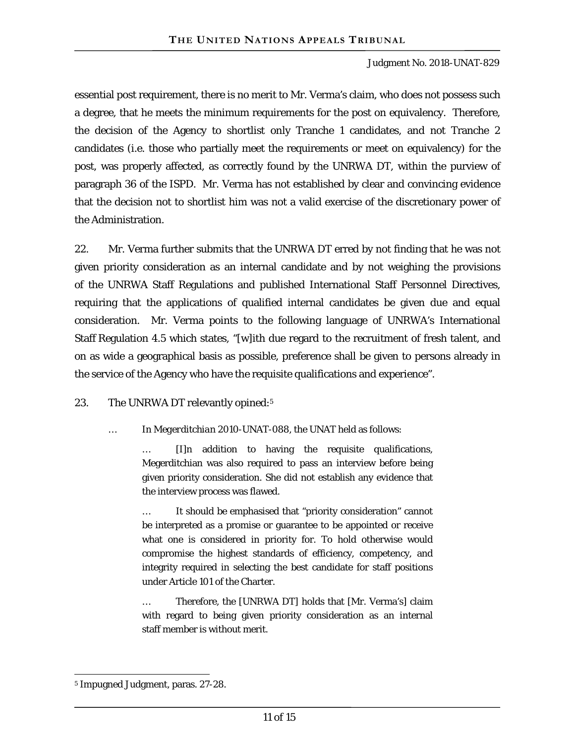essential post requirement, there is no merit to Mr. Verma's claim, who does not possess such a degree, that he meets the minimum requirements for the post on equivalency. Therefore, the decision of the Agency to shortlist only Tranche 1 candidates, and not Tranche 2 candidates (i.e. those who partially meet the requirements or meet on equivalency) for the post, was properly affected, as correctly found by the UNRWA DT, within the purview of paragraph 36 of the ISPD. Mr. Verma has not established by clear and convincing evidence that the decision not to shortlist him was not a valid exercise of the discretionary power of the Administration.

22. Mr. Verma further submits that the UNRWA DT erred by not finding that he was not given priority consideration as an internal candidate and by not weighing the provisions of the UNRWA Staff Regulations and published International Staff Personnel Directives, requiring that the applications of qualified internal candidates be given due and equal consideration. Mr. Verma points to the following language of UNRWA's International Staff Regulation 4.5 which states, "[w]ith due regard to the recruitment of fresh talent, and on as wide a geographical basis as possible, preference shall be given to persons already in the service of the Agency who have the requisite qualifications and experience".

#### 23. The UNRWA DT relevantly opined:<sup>5</sup>

… In *Megerditchian* 2010-UNAT-088, the UNAT held as follows:

… [I]n addition to having the requisite qualifications, Megerditchian was also required to pass an interview before being given priority consideration. She did not establish any evidence that the interview process was flawed.

It should be emphasised that "priority consideration" cannot be interpreted as a promise or guarantee to be appointed or receive what one is considered in priority for. To hold otherwise would compromise the highest standards of efficiency, competency, and integrity required in selecting the best candidate for staff positions under Article 101 of the Charter.

… Therefore, the [UNRWA DT] holds that [Mr. Verma's] claim with regard to being given priority consideration as an internal staff member is without merit.

 $\overline{a}$ 5 Impugned Judgment, paras. 27-28.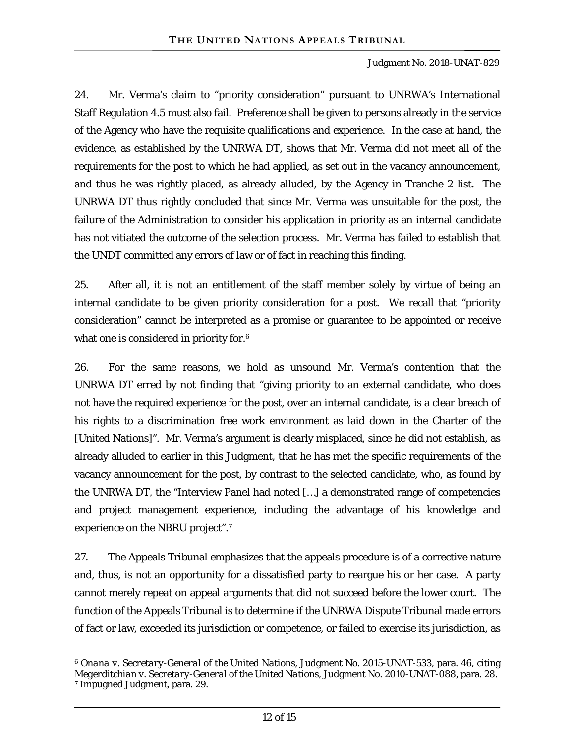24. Mr. Verma's claim to "priority consideration" pursuant to UNRWA's International Staff Regulation 4.5 must also fail. Preference shall be given to persons already in the service of the Agency who have the requisite qualifications and experience. In the case at hand, the evidence, as established by the UNRWA DT, shows that Mr. Verma did not meet all of the requirements for the post to which he had applied, as set out in the vacancy announcement, and thus he was rightly placed, as already alluded, by the Agency in Tranche 2 list. The UNRWA DT thus rightly concluded that since Mr. Verma was unsuitable for the post, the failure of the Administration to consider his application in priority as an internal candidate has not vitiated the outcome of the selection process. Mr. Verma has failed to establish that the UNDT committed any errors of law or of fact in reaching this finding.

25. After all, it is not an entitlement of the staff member solely by virtue of being an internal candidate to be given priority consideration for a post. We recall that "priority consideration" cannot be interpreted as a promise or guarantee to be appointed or receive what one is considered in priority for.<sup>6</sup>

26. For the same reasons, we hold as unsound Mr. Verma's contention that the UNRWA DT erred by not finding that "giving priority to an external candidate, who does not have the required experience for the post, over an internal candidate, is a clear breach of his rights to a discrimination free work environment as laid down in the Charter of the [United Nations]". Mr. Verma's argument is clearly misplaced, since he did not establish, as already alluded to earlier in this Judgment, that he has met the specific requirements of the vacancy announcement for the post, by contrast to the selected candidate, who, as found by the UNRWA DT, the "Interview Panel had noted […] a demonstrated range of competencies and project management experience, including the advantage of his knowledge and experience on the NBRU project".7

27. The Appeals Tribunal emphasizes that the appeals procedure is of a corrective nature and, thus, is not an opportunity for a dissatisfied party to reargue his or her case. A party cannot merely repeat on appeal arguments that did not succeed before the lower court. The function of the Appeals Tribunal is to determine if the UNRWA Dispute Tribunal made errors of fact or law, exceeded its jurisdiction or competence, or failed to exercise its jurisdiction, as

 $\overline{a}$ 

<sup>6</sup> *Onana v. Secretary-General of the United Nations*, Judgment No. 2015-UNAT-533, para. 46, citing *Megerditchian v. Secretary-General of the United Nations*, Judgment No. 2010-UNAT-088, para. 28. 7 Impugned Judgment, para. 29.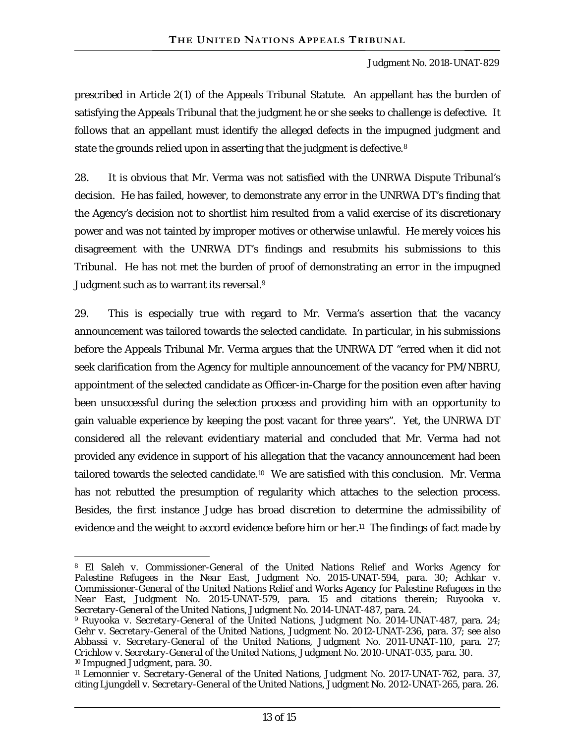prescribed in Article 2(1) of the Appeals Tribunal Statute. An appellant has the burden of satisfying the Appeals Tribunal that the judgment he or she seeks to challenge is defective. It follows that an appellant must identify the alleged defects in the impugned judgment and state the grounds relied upon in asserting that the judgment is defective.<sup>8</sup>

28. It is obvious that Mr. Verma was not satisfied with the UNRWA Dispute Tribunal's decision. He has failed, however, to demonstrate any error in the UNRWA DT's finding that the Agency's decision not to shortlist him resulted from a valid exercise of its discretionary power and was not tainted by improper motives or otherwise unlawful. He merely voices his disagreement with the UNRWA DT's findings and resubmits his submissions to this Tribunal. He has not met the burden of proof of demonstrating an error in the impugned Judgment such as to warrant its reversal.<sup>9</sup>

29. This is especially true with regard to Mr. Verma's assertion that the vacancy announcement was tailored towards the selected candidate. In particular, in his submissions before the Appeals Tribunal Mr. Verma argues that the UNRWA DT "erred when it did not seek clarification from the Agency for multiple announcement of the vacancy for PM/NBRU, appointment of the selected candidate as Officer-in-Charge for the position even after having been unsuccessful during the selection process and providing him with an opportunity to gain valuable experience by keeping the post vacant for three years". Yet, the UNRWA DT considered all the relevant evidentiary material and concluded that Mr. Verma had not provided any evidence in support of his allegation that the vacancy announcement had been tailored towards the selected candidate.10 We are satisfied with this conclusion. Mr. Verma has not rebutted the presumption of regularity which attaches to the selection process. Besides, the first instance Judge has broad discretion to determine the admissibility of evidence and the weight to accord evidence before him or her.<sup>11</sup> The findings of fact made by

 $\overline{a}$ 

<sup>8</sup> *El Saleh v. Commissioner-General of the United Nations Relief and Works Agency for Palestine Refugees in the Near East*, Judgment No. 2015-UNAT-594, para. 30; *Achkar v. Commissioner-General of the United Nations Relief and Works Agency for Palestine Refugees in the Near East*, Judgment No. 2015-UNAT-579, para. 15 and citations therein; *Ruyooka v. Secretary-General of the United Nations*, Judgment No. 2014-UNAT-487, para. 24.

<sup>9</sup> *Ruyooka v. Secretary-General of the United Nations*, Judgment No. 2014-UNAT-487, para. 24; *Gehr v. Secretary-General of the United Nations*, Judgment No. 2012-UNAT-236, para. 37; see also *Abbassi v. Secretary-General of the United Nations*, Judgment No. 2011-UNAT-110, para. 27; *Crichlow v. Secretary-General of the United Nations*, Judgment No. 2010-UNAT-035, para. 30. 10 Impugned Judgment, para. 30.

<sup>11</sup> *Lemonnier v. Secretary-General of the United Nations*, Judgment No. 2017-UNAT-762, para. 37, citing *Ljungdell v. Secretary-General of the United Nations*, Judgment No. 2012-UNAT-265, para. 26.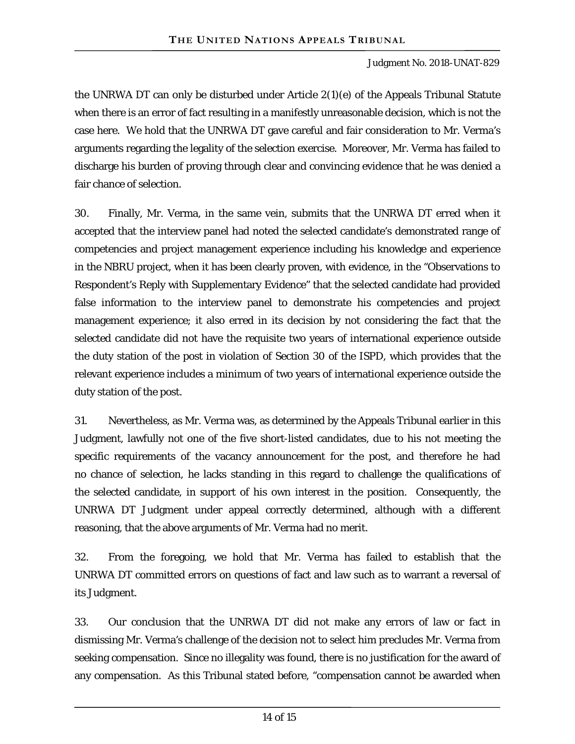the UNRWA DT can only be disturbed under Article 2(1)(*e*) of the Appeals Tribunal Statute when there is an error of fact resulting in a manifestly unreasonable decision, which is not the case here. We hold that the UNRWA DT gave careful and fair consideration to Mr. Verma's arguments regarding the legality of the selection exercise. Moreover, Mr. Verma has failed to discharge his burden of proving through clear and convincing evidence that he was denied a fair chance of selection.

30. Finally, Mr. Verma, in the same vein, submits that the UNRWA DT erred when it accepted that the interview panel had noted the selected candidate's demonstrated range of competencies and project management experience including his knowledge and experience in the NBRU project, when it has been clearly proven, with evidence, in the "Observations to Respondent's Reply with Supplementary Evidence" that the selected candidate had provided false information to the interview panel to demonstrate his competencies and project management experience; it also erred in its decision by not considering the fact that the selected candidate did not have the requisite two years of international experience outside the duty station of the post in violation of Section 30 of the ISPD, which provides that the relevant experience includes a minimum of two years of international experience outside the duty station of the post.

31. Nevertheless, as Mr. Verma was, as determined by the Appeals Tribunal earlier in this Judgment, lawfully not one of the five short-listed candidates, due to his not meeting the specific requirements of the vacancy announcement for the post, and therefore he had no chance of selection, he lacks standing in this regard to challenge the qualifications of the selected candidate, in support of his own interest in the position. Consequently, the UNRWA DT Judgment under appeal correctly determined, although with a different reasoning, that the above arguments of Mr. Verma had no merit.

32. From the foregoing, we hold that Mr. Verma has failed to establish that the UNRWA DT committed errors on questions of fact and law such as to warrant a reversal of its Judgment.

33. Our conclusion that the UNRWA DT did not make any errors of law or fact in dismissing Mr. Verma's challenge of the decision not to select him precludes Mr. Verma from seeking compensation. Since no illegality was found, there is no justification for the award of any compensation. As this Tribunal stated before, "compensation cannot be awarded when